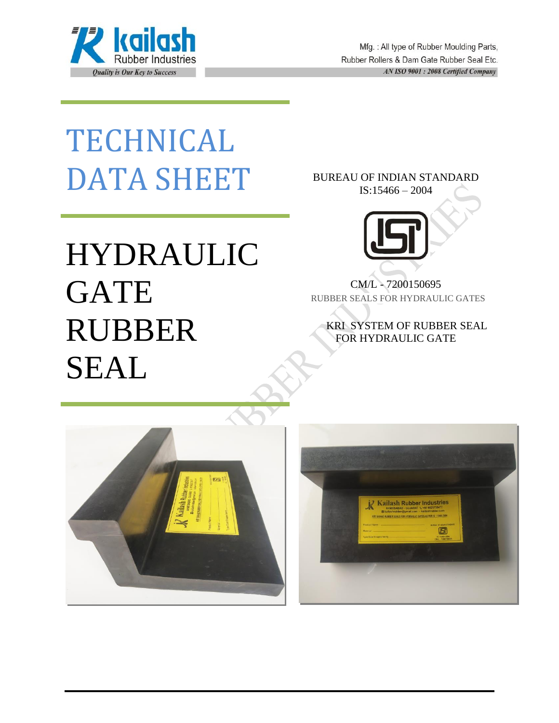

Mfg.: All type of Rubber Moulding Parts, Rubber Rollers & Dam Gate Rubber Seal Etc. AN ISO 9001 : 2008 Certified Company

## TECHNICAL DATA SHEET

# HYDRAULIC GATE RUBBER SEAL



BUREAU OF INDIAN STANDARD IS:15466 – 2004

CM/L - 7200150695 RUBBER SEALS FOR HYDRAULIC GATES

 KRI SYSTEM OF RUBBER SEAL FOR HYDRAULIC GATE



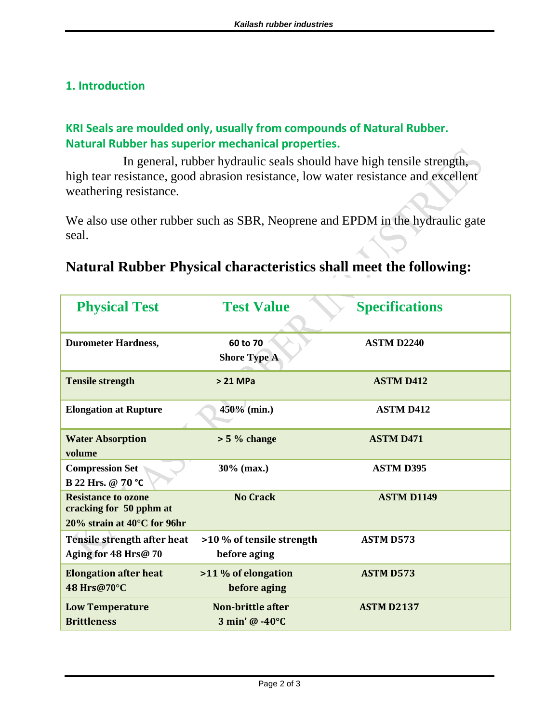#### **1. Introduction**

#### **KRI Seals are moulded only, usually from compounds of Natural Rubber. Natural Rubber has superior mechanical properties.**

 In general, rubber hydraulic seals should have high tensile strength, high tear resistance, good abrasion resistance, low water resistance and excellent weathering resistance.

We also use other rubber such as SBR, Neoprene and EPDM in the hydraulic gate seal.

### **Natural Rubber Physical characteristics shall meet the following:**

| <b>Physical Test</b>                                                                           | <b>Test Value</b>                                           | <b>Specifications</b> |  |
|------------------------------------------------------------------------------------------------|-------------------------------------------------------------|-----------------------|--|
| <b>Durometer Hardness,</b>                                                                     | 60 to 70<br><b>Shore Type A</b>                             | <b>ASTM D2240</b>     |  |
| <b>Tensile strength</b>                                                                        | $> 21$ MPa                                                  | <b>ASTM D412</b>      |  |
| <b>Elongation at Rupture</b>                                                                   | 450% (min.)                                                 | <b>ASTM D412</b>      |  |
| <b>Water Absorption</b><br>volume                                                              | $> 5 \%$ change                                             | <b>ASTM D471</b>      |  |
| <b>Compression Set</b><br>B 22 Hrs. @ 70 °C                                                    | 30% (max.)                                                  | <b>ASTM D395</b>      |  |
| <b>Resistance to ozone</b><br>cracking for 50 pphm at<br>20% strain at $40^{\circ}$ C for 96hr | <b>No Crack</b>                                             | <b>ASTM D1149</b>     |  |
| Tensile strength after heat<br>Aging for 48 Hrs@ 70                                            | >10 % of tensile strength<br>before aging                   | <b>ASTM D573</b>      |  |
| <b>Elongation after heat</b><br>48 Hrs@70°C                                                    | >11 % of elongation<br>before aging                         | <b>ASTM D573</b>      |  |
| <b>Low Temperature</b><br><b>Brittleness</b>                                                   | Non-brittle after<br>$3 \text{ min}'$ @ -40 $\textdegree$ C | <b>ASTM D2137</b>     |  |